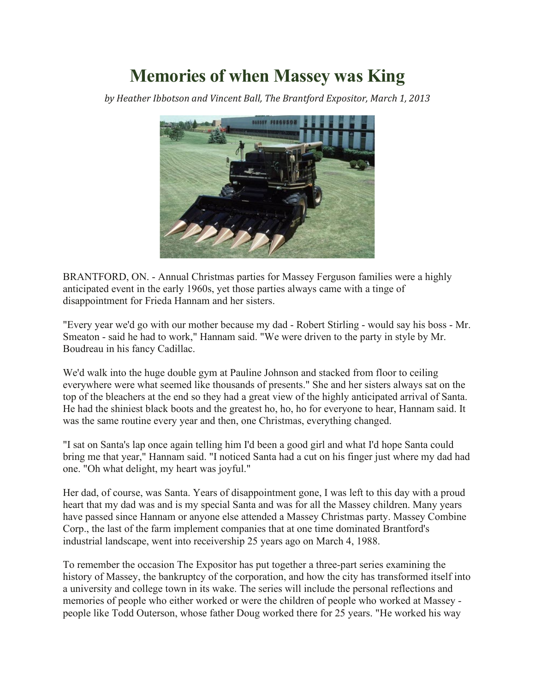## **Memories of when Massey was King**

*by Heather Ibbotson and Vincent Ball, The Brantford Expositor, March 1, 2013*



BRANTFORD, ON. - Annual Christmas parties for Massey Ferguson families were a highly anticipated event in the early 1960s, yet those parties always came with a tinge of disappointment for Frieda Hannam and her sisters.

"Every year we'd go with our mother because my dad - Robert Stirling - would say his boss - Mr. Smeaton - said he had to work," Hannam said. "We were driven to the party in style by Mr. Boudreau in his fancy Cadillac.

We'd walk into the huge double gym at Pauline Johnson and stacked from floor to ceiling everywhere were what seemed like thousands of presents." She and her sisters always sat on the top of the bleachers at the end so they had a great view of the highly anticipated arrival of Santa. He had the shiniest black boots and the greatest ho, ho, ho for everyone to hear, Hannam said. It was the same routine every year and then, one Christmas, everything changed.

"I sat on Santa's lap once again telling him I'd been a good girl and what I'd hope Santa could bring me that year," Hannam said. "I noticed Santa had a cut on his finger just where my dad had one. "Oh what delight, my heart was joyful."

Her dad, of course, was Santa. Years of disappointment gone, I was left to this day with a proud heart that my dad was and is my special Santa and was for all the Massey children. Many years have passed since Hannam or anyone else attended a Massey Christmas party. Massey Combine Corp., the last of the farm implement companies that at one time dominated Brantford's industrial landscape, went into receivership 25 years ago on March 4, 1988.

To remember the occasion The Expositor has put together a three-part series examining the history of Massey, the bankruptcy of the corporation, and how the city has transformed itself into a university and college town in its wake. The series will include the personal reflections and memories of people who either worked or were the children of people who worked at Massey people like Todd Outerson, whose father Doug worked there for 25 years. "He worked his way